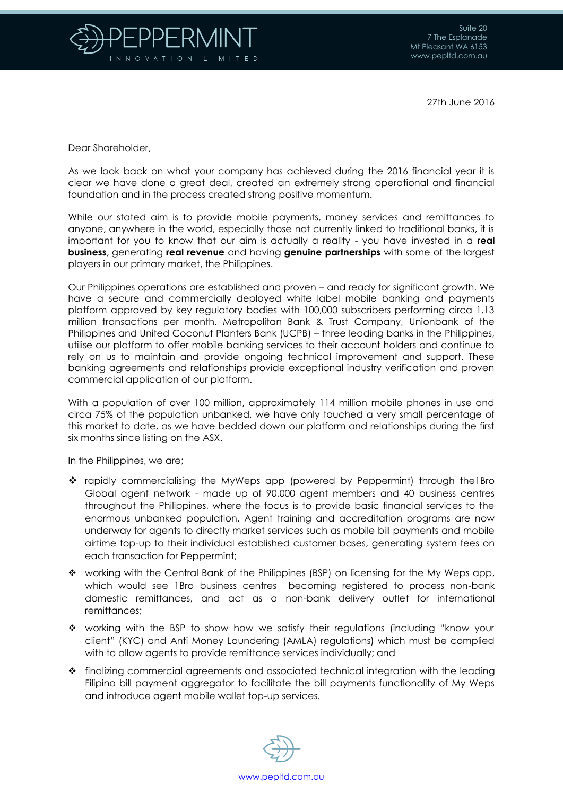

27th June 2016

Dear Shareholder,

As we look back on what your company has achieved during the 2016 financial year it is clear we have done a great deal, created an extremely strong operational and financial foundation and in the process created strong positive momentum.

While our stated aim is to provide mobile payments, money services and remittances to anyone, anywhere in the world, especially those not currently linked to traditional banks, it is important for you to know that our aim is actually a reality - you have invested in a **real business**, generating **real revenue** and having **genuine partnerships** with some of the largest players in our primary market, the Philippines.

Our Philippines operations are established and proven – and ready for significant growth. We have a secure and commercially deployed white label mobile banking and payments platform approved by key regulatory bodies with 100,000 subscribers performing circa 1.13 million transactions per month. Metropolitan Bank & Trust Company, Unionbank of the Philippines and United Coconut Planters Bank (UCPB) – three leading banks in the Philippines, utilise our platform to offer mobile banking services to their account holders and continue to rely on us to maintain and provide ongoing technical improvement and support. These banking agreements and relationships provide exceptional industry verification and proven commercial application of our platform.

With a population of over 100 million, approximately 114 million mobile phones in use and circa 75% of the population unbanked, we have only touched a very small percentage of this market to date, as we have bedded down our platform and relationships during the first six months since listing on the ASX.

In the Philippines, we are;

- ❖ rapidly commercialising the MyWeps app (powered by Peppermint) through the1Bro Global agent network - made up of 90,000 agent members and 40 business centres throughout the Philippines, where the focus is to provide basic financial services to the enormous unbanked population. Agent training and accreditation programs are now underway for agents to directly market services such as mobile bill payments and mobile airtime top-up to their individual established customer bases, generating system fees on each transaction for Peppermint;
- $\cdot \cdot$  working with the Central Bank of the Philippines (BSP) on licensing for the My Weps app, which would see 1Bro business centres becoming registered to process non-bank domestic remittances, and act as a non-bank delivery outlet for international remittances;
- working with the BSP to show how we satisfy their regulations (including "know your client" (KYC) and Anti Money Laundering (AMLA) regulations) which must be complied with to allow agents to provide remittance services individually; and
- finalizing commercial agreements and associated technical integration with the leading Filipino bill payment aggregator to facilitate the bill payments functionality of My Weps and introduce agent mobile wallet top-up services.

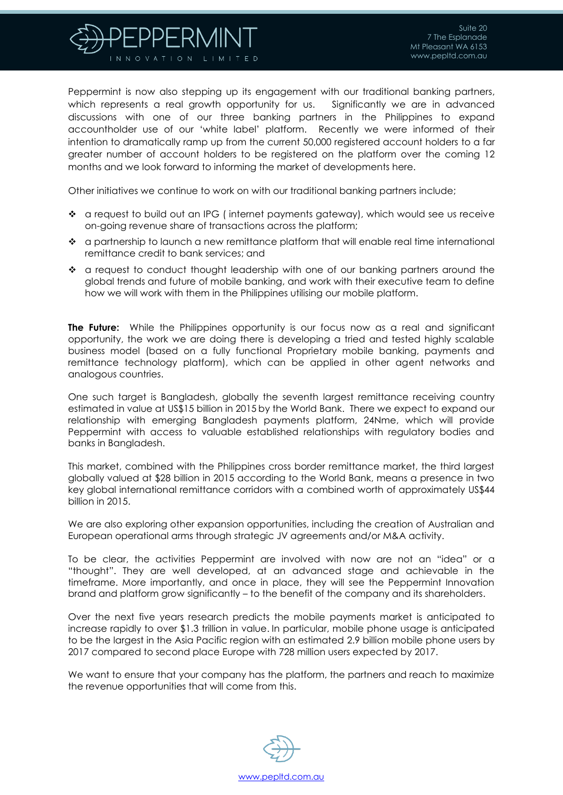

Peppermint is now also stepping up its engagement with our traditional banking partners, which represents a real growth opportunity for us. Significantly we are in advanced discussions with one of our three banking partners in the Philippines to expand accountholder use of our 'white label' platform. Recently we were informed of their intention to dramatically ramp up from the current 50,000 registered account holders to a far greater number of account holders to be registered on the platform over the coming 12 months and we look forward to informing the market of developments here.

Other initiatives we continue to work on with our traditional banking partners include;

- a request to build out an IPG ( internet payments gateway), which would see us receive on-going revenue share of transactions across the platform;
- \* a partnership to launch a new remittance platform that will enable real time international remittance credit to bank services; and
- a request to conduct thought leadership with one of our banking partners around the global trends and future of mobile banking, and work with their executive team to define how we will work with them in the Philippines utilising our mobile platform.

**The Future:** While the Philippines opportunity is our focus now as a real and significant opportunity, the work we are doing there is developing a tried and tested highly scalable business model (based on a fully functional Proprietary mobile banking, payments and remittance technology platform), which can be applied in other agent networks and analogous countries.

One such target is Bangladesh, globally the seventh largest remittance receiving country estimated in value at US\$15 billion in 2015 by the World Bank. There we expect to expand our relationship with emerging Bangladesh payments platform, 24Nme, which will provide Peppermint with access to valuable established relationships with regulatory bodies and banks in Bangladesh.

This market, combined with the Philippines cross border remittance market, the third largest globally valued at \$28 billion in 2015 according to the World Bank, means a presence in two key global international remittance corridors with a combined worth of approximately US\$44 billion in 2015.

We are also exploring other expansion opportunities, including the creation of Australian and European operational arms through strategic JV agreements and/or M&A activity.

To be clear, the activities Peppermint are involved with now are not an "idea" or a "thought". They are well developed, at an advanced stage and achievable in the timeframe. More importantly, and once in place, they will see the Peppermint Innovation brand and platform grow significantly – to the benefit of the company and its shareholders.

Over the next five years research predicts the mobile payments market is anticipated to increase rapidly to over \$1.3 trillion in value. In particular, mobile phone usage is anticipated to be the largest in the Asia Pacific region with an estimated 2.9 billion mobile phone users by 2017 compared to second place Europe with 728 million users expected by 2017.

We want to ensure that your company has the platform, the partners and reach to maximize the revenue opportunities that will come from this.